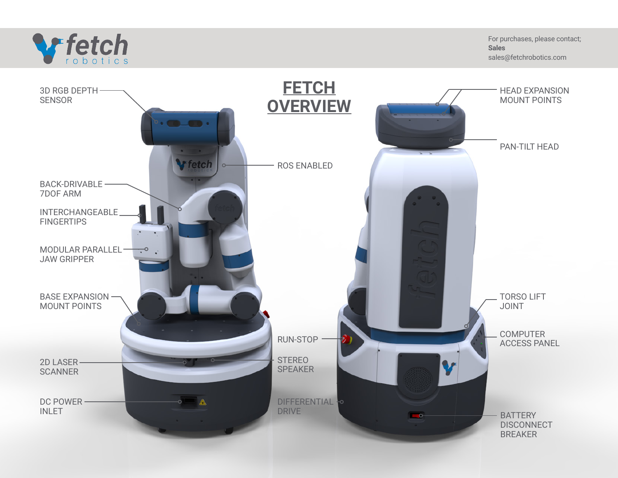

For purchases, please contact; **Sales** sales@fetchrobotics.com

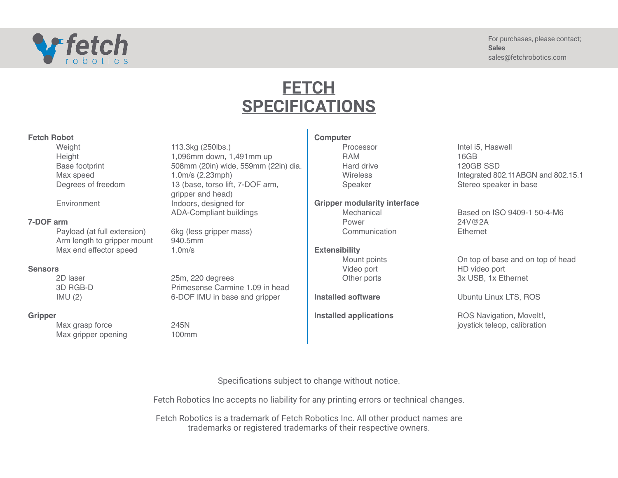

# **FETCH SPECIFICATIONS**

### **Fetch Robot**

**Weight** Height Base footprint Max speed Degrees of freedom

**Environment** 

## **7-DOF arm**

Payload (at full extension) Arm length to gripper mount Max end effector speed

### **Sensors**

2D laser 3D RGB-D IMU (2)

### **Gripper**

Max grasp force Max gripper opening

113.3kg (250lbs.) 1,096mm down, 1,491mm up 508mm (20in) wide, 559mm (22in) dia. 1.0m/s (2.23mph) 13 (base, torso lift, 7-DOF arm, gripper and head) Indoors, designed for ADA-Compliant buildings

6kg (less gripper mass) 940.5mm 1.0m/s

25m, 220 degrees Primesense Carmine 1.09 in head 6-DOF IMU in base and gripper

245N 100mm **Computer**

Processor RAM Hard drive **Wireless** Speaker

## **Gripper modularity interface**

Mechanical Power **Communication** 

## **Extensibility**

Mount points Video port Other ports

**Installed software**

**Installed applications**

Intel i5, Haswell 16GB 120GB SSD Integrated 802.11ABGN and 802.15.1 Stereo speaker in base

Based on ISO 9409-1 50-4-M6 24V@2A **Ethernet** 

On top of base and on top of head HD video port 3x USB, 1x Ethernet

Ubuntu Linux LTS, ROS

ROS Navigation, MoveIt!, joystick teleop, calibration

Specifications subject to change without notice.

Fetch Robotics Inc accepts no liability for any printing errors or technical changes.

Fetch Robotics is a trademark of Fetch Robotics Inc. All other product names are trademarks or registered trademarks of their respective owners.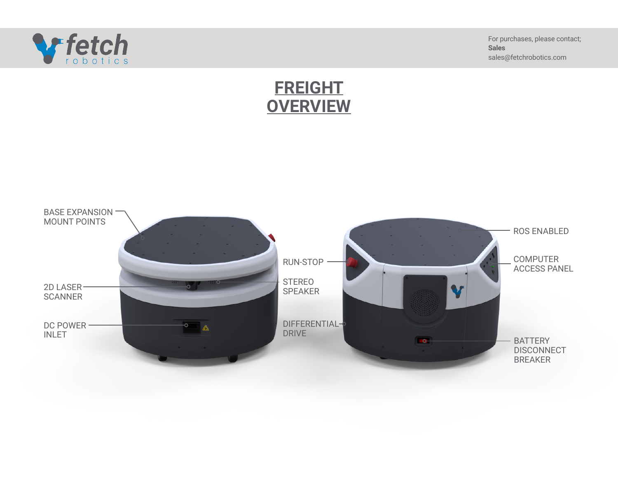

For purchases, please contact; **Sales** sales@fetchrobotics.com

# **FREIGHT OVERVIEW**

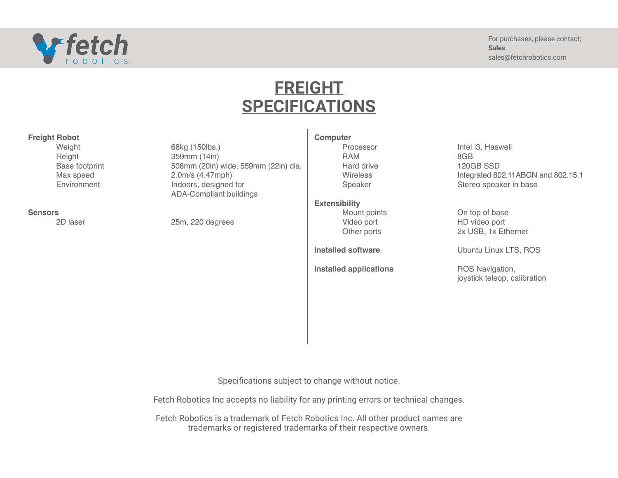

# **FREIGHT SPECIFICATIONS**

| <b>Freight Robot</b> |  |
|----------------------|--|
|----------------------|--|

**Weight** Height Base footprint Max speed **Environment** 

#### **Sensors**

2D laser

68kg (150lbs.) 359mm (14in) 508mm (20in) wide, 559mm (22in) dia. 2.0m/s (4.47mph) Indoors, designed for ADA-Compliant buildings

25m, 220 degrees

**Computer**

Processor RAM Hard drive **Wireless** Speaker

## **Extensibility**

Mount points Video port Other ports

**Installed software**

**Installed applications**

Intel i3, Haswell 8GB 120GB SSD Integrated 802.11ABGN and 802.15.1 Stereo speaker in base

On top of base HD video port 2x USB, 1x Ethernet

Ubuntu Linux LTS, ROS

ROS Navigation, joystick teleop, calibration

Specifications subject to change without notice.

Fetch Robotics Inc accepts no liability for any printing errors or technical changes.

Fetch Robotics is a trademark of Fetch Robotics Inc. All other product names are trademarks or registered trademarks of their respective owners.